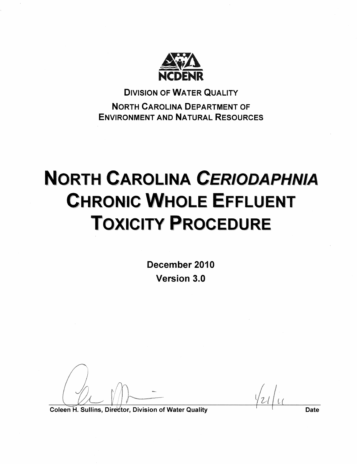

**DIVISION OF WATER QUALITY NORTH CAROLINA DEPARTMENT OF ENVIRONMENT AND NATURAL RESOURCES** 

# **NORTH CAROLINA CERIODAPHNIA CHRONIC WHOLE EFFLUENT TOXICITY PROCEDURE**

December 2010 Version 3.0

Coleen H. Sullins, Director, Division of Water Quality

**Date**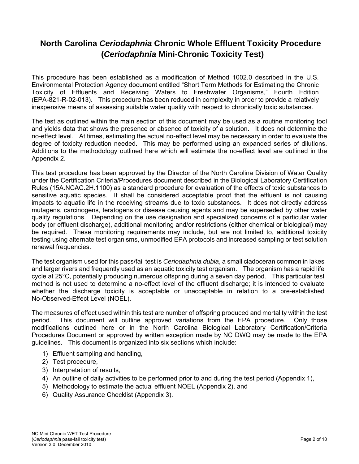## **North Carolina** *Ceriodaphnia* **Chronic Whole Effluent Toxicity Procedure (***Ceriodaphnia* **Mini-Chronic Toxicity Test)**

This procedure has been established as a modification of Method 1002.0 described in the U.S. Environmental Protection Agency document entitled "Short Term Methods for Estimating the Chronic Toxicity of Effluents and Receiving Waters to Freshwater Organisms," Fourth Edition (EPA-821-R-02-013). This procedure has been reduced in complexity in order to provide a relatively inexpensive means of assessing suitable water quality with respect to chronically toxic substances.

The test as outlined within the main section of this document may be used as a routine monitoring tool and yields data that shows the presence or absence of toxicity of a solution. It does not determine the no-effect level. At times, estimating the actual no-effect level may be necessary in order to evaluate the degree of toxicity reduction needed. This may be performed using an expanded series of dilutions. Additions to the methodology outlined here which will estimate the no-effect level are outlined in the Appendix 2.

This test procedure has been approved by the Director of the North Carolina Division of Water Quality under the Certification Criteria/Procedures document described in the Biological Laboratory Certification Rules (15A.NCAC.2H.1100) as a standard procedure for evaluation of the effects of toxic substances to sensitive aquatic species. It shall be considered acceptable proof that the effluent is not causing impacts to aquatic life in the receiving streams due to toxic substances. It does not directly address mutagens, carcinogens, teratogens or disease causing agents and may be superseded by other water quality regulations. Depending on the use designation and specialized concerns of a particular water body (or effluent discharge), additional monitoring and/or restrictions (either chemical or biological) may be required. These monitoring requirements may include, but are not limited to, additional toxicity testing using alternate test organisms, unmodified EPA protocols and increased sampling or test solution renewal frequencies.

The test organism used for this pass/fail test is *Ceriodaphnia dubia*, a small cladoceran common in lakes and larger rivers and frequently used as an aquatic toxicity test organism. The organism has a rapid life cycle at 25°C, potentially producing numerous offspring during a seven day period. This particular test method is not used to determine a no-effect level of the effluent discharge; it is intended to evaluate whether the discharge toxicity is acceptable or unacceptable in relation to a pre-established No-Observed-Effect Level (NOEL).

The measures of effect used within this test are number of offspring produced and mortality within the test period. This document will outline approved variations from the EPA procedure. Only those modifications outlined here or in the North Carolina Biological Laboratory Certification/Criteria Procedures Document or approved by written exception made by NC DWQ may be made to the EPA guidelines. This document is organized into six sections which include:

- 1) Effluent sampling and handling,
- 2) Test procedure,
- 3) Interpretation of results,
- 4) An outline of daily activities to be performed prior to and during the test period (Appendix 1),
- 5) Methodology to estimate the actual effluent NOEL (Appendix 2), and
- 6) Quality Assurance Checklist (Appendix 3).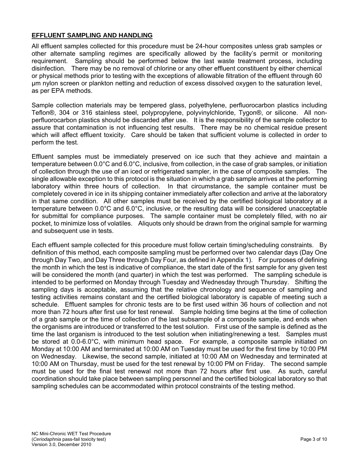### **EFFLUENT SAMPLING AND HANDLING**

All effluent samples collected for this procedure must be 24-hour composites unless grab samples or other alternate sampling regimes are specifically allowed by the facility's permit or monitoring requirement. Sampling should be performed below the last waste treatment process, including disinfection. There may be no removal of chlorine or any other effluent constituent by either chemical or physical methods prior to testing with the exceptions of allowable filtration of the effluent through 60 µm nylon screen or plankton netting and reduction of excess dissolved oxygen to the saturation level, as per EPA methods.

Sample collection materials may be tempered glass, polyethylene, perfluorocarbon plastics including Teflon®, 304 or 316 stainless steel, polypropylene, polyvinylchloride, Tygon®, or silicone. All nonperfluorocarbon plastics should be discarded after use. It is the responsibility of the sample collector to assure that contamination is not influencing test results. There may be no chemical residue present which will affect effluent toxicity. Care should be taken that sufficient volume is collected in order to perform the test.

Effluent samples must be immediately preserved on ice such that they achieve and maintain a temperature between 0.0°C and 6.0°C, inclusive, from collection, in the case of grab samples, or initiation of collection through the use of an iced or refrigerated sampler, in the case of composite samples. The single allowable exception to this protocol is the situation in which a grab sample arrives at the performing laboratory within three hours of collection. In that circumstance, the sample container must be completely covered in ice in its shipping container immediately after collection and arrive at the laboratory in that same condition. All other samples must be received by the certified biological laboratory at a temperature between 0.0°C and 6.0°C, inclusive, or the resulting data will be considered unacceptable for submittal for compliance purposes. The sample container must be completely filled, with no air pocket, to minimize loss of volatiles. Aliquots only should be drawn from the original sample for warming and subsequent use in tests.

Each effluent sample collected for this procedure must follow certain timing/scheduling constraints. By definition of this method, each composite sampling must be performed over two calendar days (Day One through Day Two, and Day Three through Day Four, as defined in Appendix 1). For purposes of defining the month in which the test is indicative of compliance, the start date of the first sample for any given test will be considered the month (and quarter) in which the test was performed. The sampling schedule is intended to be performed on Monday through Tuesday and Wednesday through Thursday. Shifting the sampling days is acceptable, assuming that the relative chronology and sequence of sampling and testing activities remains constant and the certified biological laboratory is capable of meeting such a schedule. Effluent samples for chronic tests are to be first used within 36 hours of collection and not more than 72 hours after first use for test renewal. Sample holding time begins at the time of collection of a grab sample or the time of collection of the last subsample of a composite sample, and ends when the organisms are introduced or transferred to the test solution. First use of the sample is defined as the time the last organism is introduced to the test solution when initiating/renewing a test. Samples must be stored at 0.0-6.0°C, with minimum head space. For example, a composite sample initiated on Monday at 10:00 AM and terminated at 10:00 AM on Tuesday must be used for the first time by 10:00 PM on Wednesday. Likewise, the second sample, initiated at 10:00 AM on Wednesday and terminated at 10:00 AM on Thursday, must be used for the test renewal by 10:00 PM on Friday. The second sample must be used for the final test renewal not more than 72 hours after first use. As such, careful coordination should take place between sampling personnel and the certified biological laboratory so that sampling schedules can be accommodated within protocol constraints of the testing method.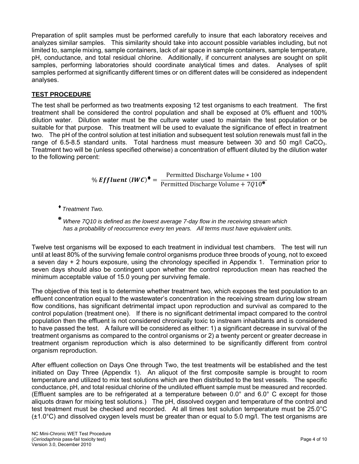Preparation of split samples must be performed carefully to insure that each laboratory receives and analyzes similar samples. This similarity should take into account possible variables including, but not limited to, sample mixing, sample containers, lack of air space in sample containers, sample temperature, pH, conductance, and total residual chlorine. Additionally, if concurrent analyses are sought on split samples, performing laboratories should coordinate analytical times and dates. Analyses of split samples performed at significantly different times or on different dates will be considered as independent analyses.

## **TEST PROCEDURE**

The test shall be performed as two treatments exposing 12 test organisms to each treatment. The first treatment shall be considered the control population and shall be exposed at 0% effluent and 100% dilution water. Dilution water must be the culture water used to maintain the test population or be suitable for that purpose. This treatment will be used to evaluate the significance of effect in treatment two. The pH of the control solution at test initiation and subsequent test solution renewals must fall in the range of 6.5-8.5 standard units. Total hardness must measure between 30 and 50 mg/l CaCO<sub>3</sub>. Treatment two will be (unless specified otherwise) a concentration of effluent diluted by the dilution water to the following percent:

$$
\% \text{ Effluent (IWC)}\bullet = \frac{\text{Permitted Discharge Volume} \times 100}{\text{Permitted Discharge Volume} + 7Q10^{\circ}}
$$

- *Treatment Two.*
- ? *Where 7Q10 is defined as the lowest average 7-day flow in the receiving stream which has a probability of reoccurrence every ten years. All terms must have equivalent units.*

Twelve test organisms will be exposed to each treatment in individual test chambers. The test will run until at least 80% of the surviving female control organisms produce three broods of young, not to exceed a seven day + 2 hours exposure, using the chronology specified in Appendix 1. Termination prior to seven days should also be contingent upon whether the control reproduction mean has reached the minimum acceptable value of 15.0 young per surviving female.

The objective of this test is to determine whether treatment two, which exposes the test population to an effluent concentration equal to the wastewater's concentration in the receiving stream during low stream flow conditions, has significant detrimental impact upon reproduction and survival as compared to the control population (treatment one). If there is no significant detrimental impact compared to the control population then the effluent is not considered chronically toxic to instream inhabitants and is considered to have passed the test. A failure will be considered as either: 1) a significant decrease in survival of the treatment organisms as compared to the control organisms or 2) a twenty percent or greater decrease in treatment organism reproduction which is also determined to be significantly different from control organism reproduction.

After effluent collection on Days One through Two, the test treatments will be established and the test initiated on Day Three (Appendix 1). An aliquot of the first composite sample is brought to room temperature and utilized to mix test solutions which are then distributed to the test vessels. The specific conductance, pH, and total residual chlorine of the undiluted effluent sample must be measured and recorded. (Effluent samples are to be refrigerated at a temperature between 0.0° and 6.0° C except for those aliquots drawn for mixing test solutions.) The pH, dissolved oxygen and temperature of the control and test treatment must be checked and recorded. At all times test solution temperature must be 25.0°C  $(\pm 1.0^{\circ}$ C) and dissolved oxygen levels must be greater than or equal to 5.0 mg/l. The test organisms are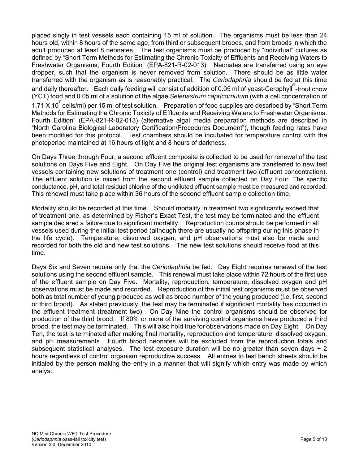placed singly in test vessels each containing 15 ml of solution. The organisms must be less than 24 hours old, within 8 hours of the same age, from third or subsequent broods, and from broods in which the adult produced at least 8 neonates. The test organisms must be produced by "individual" cultures as defined by "Short Term Methods for Estimating the Chronic Toxicity of Effluents and Receiving Waters to Freshwater Organisms, Fourth Edition" (EPA-821-R-02-013). Neonates are transferred using an eye dropper, such that the organism is never removed from solution. There should be as little water transferred with the organism as is reasonably practical. The *Ceriodaphnia* should be fed at this time and daily thereafter. Each daily feeding will consist of addition of 0.05 ml of yeast-Cerophyll® -trout chow (YCT) food and 0.05 ml of a solution of the algae *Selenastrum capricornutum* (with a cell concentration of 1.71 X 10<sup>7</sup> cells/ml) per 15 ml of test solution. Preparation of food supplies are described by "Short Term Methods for Estimating the Chronic Toxicity of Effluents and Receiving Waters to Freshwater Organisms. Fourth Edition" (EPA-821-R-02-013) (alternative algal media preparation methods are described in "North Carolina Biological Laboratory Certification/Procedures Document"), though feeding rates have been modified for this protocol. Test chambers should be incubated for temperature control with the photoperiod maintained at 16 hours of light and 8 hours of darkness.

On Days Three through Four, a second effluent composite is collected to be used for renewal of the test solutions on Days Five and Eight. On Day Five the original test organisms are transferred to new test vessels containing new solutions of treatment one (control) and treatment two (effluent concentration). The effluent solution is mixed from the second effluent sample collected on Day Four. The specific conductance, pH, and total residual chlorine of the undiluted effluent sample must be measured and recorded. This renewal must take place within 36 hours of the second effluent sample collection time.

Mortality should be recorded at this time. Should mortality in treatment two significantly exceed that of treatment one, as determined by Fisher's Exact Test, the test may be terminated and the effluent sample declared a failure due to significant mortality. Reproduction counts should be performed in all vessels used during the initial test period (although there are usually no offspring during this phase in the life cycle). Temperature, dissolved oxygen, and pH observations must also be made and recorded for both the old and new test solutions. The new test solutions should receive food at this time.

Days Six and Seven require only that the *Ceriodaphnia* be fed. Day Eight requires renewal of the test solutions using the second effluent sample. This renewal must take place within 72 hours of the first use of the effluent sample on Day Five. Mortality, reproduction, temperature, dissolved oxygen and pH observations must be made and recorded. Reproduction of the initial test organisms must be observed both as total number of young produced as well as brood number of the young produced (i.e. first, second or third brood). As stated previously, the test may be terminated if significant mortality has occurred in the effluent treatment (treatment two). On Day Nine the control organisms should be observed for production of the third brood. If 80% or more of the surviving control organisms have produced a third brood, the test may be terminated. This will also hold true for observations made on Day Eight. On Day Ten, the test is terminated after making final mortality, reproduction and temperature, dissolved oxygen, and pH measurements. Fourth brood neonates will be excluded from the reproduction totals and subsequent statistical analyses. The test exposure duration will be no greater than seven days  $+2$ hours regardless of control organism reproductive success. All entries to test bench sheets should be initialed by the person making the entry in a manner that will signify which entry was made by which analyst.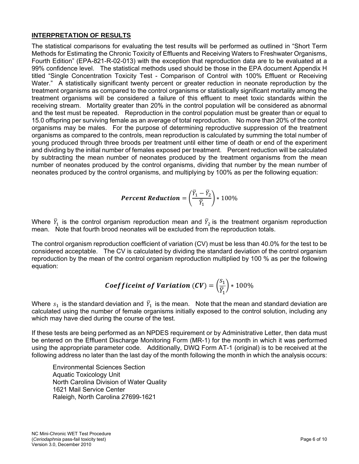## **INTERPRETATION OF RESULTS**

The statistical comparisons for evaluating the test results will be performed as outlined in "Short Term Methods for Estimating the Chronic Toxicity of Effluents and Receiving Waters to Freshwater Organisms, Fourth Edition" (EPA-821-R-02-013) with the exception that reproduction data are to be evaluated at a 99% confidence level. The statistical methods used should be those in the EPA document Appendix H titled "Single Concentration Toxicity Test - Comparison of Control with 100% Effluent or Receiving Water." A statistically significant twenty percent or greater reduction in neonate reproduction by the treatment organisms as compared to the control organisms or statistically significant mortality among the treatment organisms will be considered a failure of this effluent to meet toxic standards within the receiving stream. Mortality greater than 20% in the control population will be considered as abnormal and the test must be repeated. Reproduction in the control population must be greater than or equal to 15.0 offspring per surviving female as an average of total reproduction. No more than 20% of the control organisms may be males. For the purpose of determining reproductive suppression of the treatment organisms as compared to the controls, mean reproduction is calculated by summing the total number of young produced through three broods per treatment until either time of death or end of the experiment and dividing by the initial number of females exposed per treatment. Percent reduction will be calculated by subtracting the mean number of neonates produced by the treatment organisms from the mean number of neonates produced by the control organisms, dividing that number by the mean number of neonates produced by the control organisms, and multiplying by 100% as per the following equation:

$$
Percent \; Reduction = \left(\frac{\overline{Y}_1 - \overline{Y}_2}{\overline{Y}_1}\right) * 100\%
$$

Where  $\bar{Y}_1$  is the control organism reproduction mean and  $\bar{Y}_2$  is the treatment organism reproduction mean. Note that fourth brood neonates will be excluded from the reproduction totals.

The control organism reproduction coefficient of variation (CV) must be less than 40.0% for the test to be considered acceptable. The CV is calculated by dividing the standard deviation of the control organism reproduction by the mean of the control organism reproduction multiplied by 100 % as per the following equation:

***Coefficient of Variation (CV)*** = 
$$
\left(\frac{S_1}{\overline{Y}_1}\right) * 100\%
$$

Where  $s_1$  is the standard deviation and  $\bar{Y}_1$  is the mean. Note that the mean and standard deviation are calculated using the number of female organisms initially exposed to the control solution, including any which may have died during the course of the test.

If these tests are being performed as an NPDES requirement or by Administrative Letter, then data must be entered on the Effluent Discharge Monitoring Form (MR-1) for the month in which it was performed using the appropriate parameter code. Additionally, DWQ Form AT-1 (original) is to be received at the following address no later than the last day of the month following the month in which the analysis occurs:

Environmental Sciences Section Aquatic Toxicology Unit North Carolina Division of Water Quality 1621 Mail Service Center Raleigh, North Carolina 27699-1621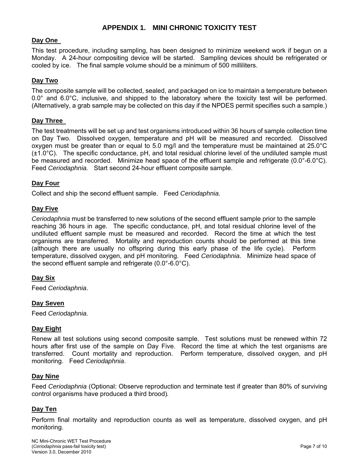## **APPENDIX 1. MINI CHRONIC TOXICITY TEST**

#### **Day One**

This test procedure, including sampling, has been designed to minimize weekend work if begun on a Monday. A 24-hour compositing device will be started. Sampling devices should be refrigerated or cooled by ice. The final sample volume should be a minimum of 500 milliliters.

#### **Day Two**

The composite sample will be collected, sealed, and packaged on ice to maintain a temperature between 0.0° and 6.0°C, inclusive, and shipped to the laboratory where the toxicity test will be performed. (Alternatively, a grab sample may be collected on this day if the NPDES permit specifies such a sample.)

#### **Day Three**

The test treatments will be set up and test organisms introduced within 36 hours of sample collection time on Day Two. Dissolved oxygen, temperature and pH will be measured and recorded. Dissolved oxygen must be greater than or equal to 5.0 mg/l and the temperature must be maintained at 25.0°C  $(\pm 1.0^{\circ}C)$ . The specific conductance, pH, and total residual chlorine level of the undiluted sample must be measured and recorded. Minimize head space of the effluent sample and refrigerate (0.0°-6.0°C). Feed *Ceriodaphnia.* Start second 24-hour effluent composite sample.

#### **Day Four**

Collect and ship the second effluent sample. Feed *Ceriodaphnia*.

#### **Day Five**

*Ceriodaphnia* must be transferred to new solutions of the second effluent sample prior to the sample reaching 36 hours in age. The specific conductance, pH, and total residual chlorine level of the undiluted effluent sample must be measured and recorded. Record the time at which the test organisms are transferred. Mortality and reproduction counts should be performed at this time (although there are usually no offspring during this early phase of the life cycle). Perform temperature, dissolved oxygen, and pH monitoring. Feed *Ceriodaphnia*. Minimize head space of the second effluent sample and refrigerate (0.0°-6.0°C).

#### **Day Six**

Feed *Ceriodaphnia*.

#### **Day Seven**

Feed *Ceriodaphnia.* 

#### **Day Eight**

Renew all test solutions using second composite sample. Test solutions must be renewed within 72 hours after first use of the sample on Day Five. Record the time at which the test organisms are transferred. Count mortality and reproduction. Perform temperature, dissolved oxygen, and pH monitoring. Feed *Ceriodaphnia*.

#### **Day Nine**

Feed *Ceriodaphnia* (Optional: Observe reproduction and terminate test if greater than 80% of surviving control organisms have produced a third brood)*.*

#### **Day Ten**

Perform final mortality and reproduction counts as well as temperature, dissolved oxygen, and pH monitoring.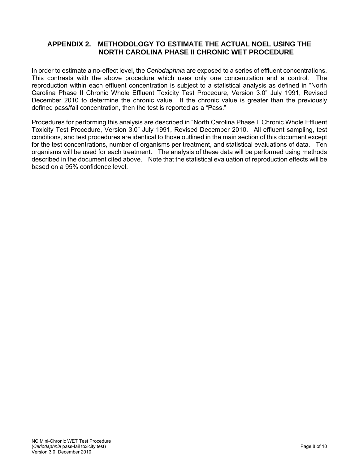## **APPENDIX 2. METHODOLOGY TO ESTIMATE THE ACTUAL NOEL USING THE NORTH CAROLINA PHASE II CHRONIC WET PROCEDURE**

In order to estimate a no-effect level, the *Ceriodaphnia* are exposed to a series of effluent concentrations. This contrasts with the above procedure which uses only one concentration and a control. The reproduction within each effluent concentration is subject to a statistical analysis as defined in "North Carolina Phase II Chronic Whole Effluent Toxicity Test Procedure, Version 3.0" July 1991, Revised December 2010 to determine the chronic value. If the chronic value is greater than the previously defined pass/fail concentration, then the test is reported as a "Pass."

Procedures for performing this analysis are described in "North Carolina Phase II Chronic Whole Effluent Toxicity Test Procedure, Version 3.0" July 1991, Revised December 2010. All effluent sampling, test conditions, and test procedures are identical to those outlined in the main section of this document except for the test concentrations, number of organisms per treatment, and statistical evaluations of data. Ten organisms will be used for each treatment. The analysis of these data will be performed using methods described in the document cited above. Note that the statistical evaluation of reproduction effects will be based on a 95% confidence level.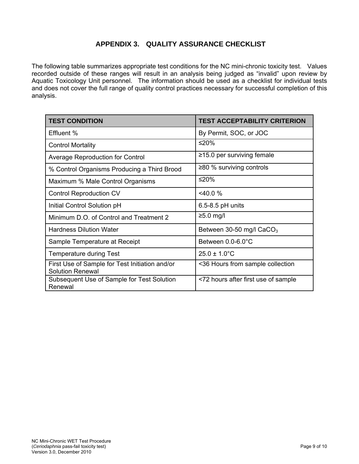## **APPENDIX 3. QUALITY ASSURANCE CHECKLIST**

The following table summarizes appropriate test conditions for the NC mini-chronic toxicity test. Values recorded outside of these ranges will result in an analysis being judged as "invalid" upon review by Aquatic Toxicology Unit personnel. The information should be used as a checklist for individual tests and does not cover the full range of quality control practices necessary for successful completion of this analysis.

| <b>TEST CONDITION</b>                                                     | <b>TEST ACCEPTABILITY CRITERION</b> |
|---------------------------------------------------------------------------|-------------------------------------|
| Effluent %                                                                | By Permit, SOC, or JOC              |
| <b>Control Mortality</b>                                                  | ≤20%                                |
| <b>Average Reproduction for Control</b>                                   | $\ge$ 15.0 per surviving female     |
| % Control Organisms Producing a Third Brood                               | $\geq$ 80 % surviving controls      |
| Maximum % Male Control Organisms                                          | ≤20%                                |
| <b>Control Reproduction CV</b>                                            | $<$ 40.0 %                          |
| Initial Control Solution pH                                               | $6.5 - 8.5$ pH units                |
| Minimum D.O. of Control and Treatment 2                                   | $≥5.0$ mg/l                         |
| <b>Hardness Dilution Water</b>                                            | Between 30-50 mg/l $CaCO3$          |
| Sample Temperature at Receipt                                             | Between 0.0-6.0°C                   |
| <b>Temperature during Test</b>                                            | $25.0 \pm 1.0^{\circ}$ C            |
| First Use of Sample for Test Initiation and/or<br><b>Solution Renewal</b> | <36 Hours from sample collection    |
| Subsequent Use of Sample for Test Solution<br>Renewal                     | <72 hours after first use of sample |